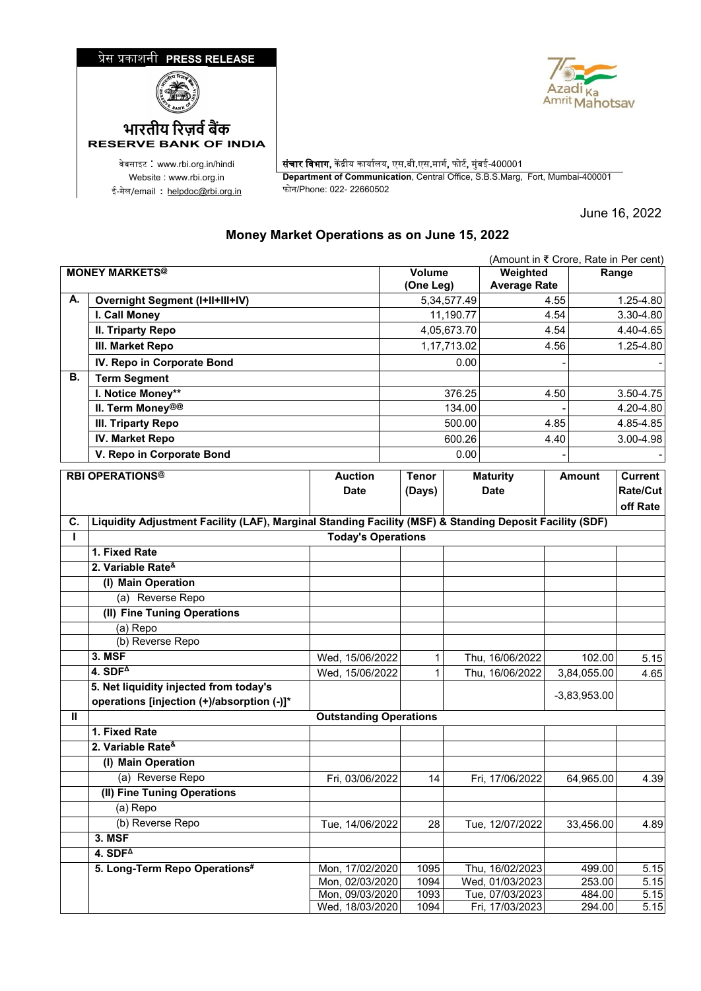

ई-मेल/email : <u>[helpdoc@rbi.org.in](mailto:helpdoc@rbi.org.in)</u>



वेबसाइट : www.rbi.org.in/hindi | संचार विभाग, केंद्रीय कार्यालय, एस.बी.एस.मार्ग, फोर्ट, मुंबई-400001 Website : www.rbi.org.in **Department of Communication**, Central Office, S.B.S.Marg, Fort, Mumbai-400001

June 16, 2022

## **Money Market Operations as on June 15, 2022**

|                       | (Amount in ₹ Crore, Rate in Per cent)                                                                   |                                    |        |                                 |                |                                    |               |                  |                |
|-----------------------|---------------------------------------------------------------------------------------------------------|------------------------------------|--------|---------------------------------|----------------|------------------------------------|---------------|------------------|----------------|
| <b>MONEY MARKETS®</b> |                                                                                                         | Volume<br>(One Leg)                |        | Weighted<br><b>Average Rate</b> |                | Range                              |               |                  |                |
| А.                    | <b>Overnight Segment (I+II+III+IV)</b>                                                                  |                                    |        |                                 | 5, 34, 577. 49 | 4.55                               |               | 1.25-4.80        |                |
|                       | I. Call Money                                                                                           |                                    |        |                                 | 11,190.77      |                                    | 4.54          | 3.30-4.80        |                |
|                       | <b>II. Triparty Repo</b>                                                                                |                                    |        |                                 | 4,05,673.70    |                                    | 4.54          |                  | 4.40-4.65      |
|                       | III. Market Repo                                                                                        |                                    |        |                                 | 1,17,713.02    |                                    | 4.56          |                  | 1.25-4.80      |
|                       | IV. Repo in Corporate Bond                                                                              |                                    |        |                                 | 0.00           |                                    |               |                  |                |
| В.                    | <b>Term Segment</b>                                                                                     |                                    |        |                                 |                |                                    |               |                  |                |
|                       | I. Notice Money**                                                                                       |                                    |        |                                 | 376.25         |                                    | 4.50          |                  | 3.50-4.75      |
|                       | II. Term Money@@                                                                                        |                                    |        |                                 | 134.00         |                                    |               |                  | 4.20-4.80      |
|                       | <b>III. Triparty Repo</b>                                                                               |                                    |        |                                 | 500.00         |                                    | 4.85          |                  | 4.85-4.85      |
|                       | <b>IV. Market Repo</b>                                                                                  |                                    | 600.26 |                                 | 4.40           |                                    |               | 3.00-4.98        |                |
|                       | V. Repo in Corporate Bond                                                                               | 0.00                               |        |                                 |                |                                    |               |                  |                |
|                       | <b>RBI OPERATIONS®</b>                                                                                  | <b>Auction</b>                     |        | <b>Tenor</b>                    |                | <b>Maturity</b>                    | <b>Amount</b> |                  | <b>Current</b> |
|                       |                                                                                                         | <b>Date</b>                        |        | (Days)                          |                | <b>Date</b>                        |               |                  | Rate/Cut       |
|                       |                                                                                                         |                                    |        |                                 |                |                                    |               |                  | off Rate       |
| C.                    | Liquidity Adjustment Facility (LAF), Marginal Standing Facility (MSF) & Standing Deposit Facility (SDF) |                                    |        |                                 |                |                                    |               |                  |                |
| L                     |                                                                                                         | <b>Today's Operations</b>          |        |                                 |                |                                    |               |                  |                |
|                       | 1. Fixed Rate                                                                                           |                                    |        |                                 |                |                                    |               |                  |                |
|                       | 2. Variable Rate <sup>&amp;</sup>                                                                       |                                    |        |                                 |                |                                    |               |                  |                |
|                       | (I) Main Operation                                                                                      |                                    |        |                                 |                |                                    |               |                  |                |
|                       | (a) Reverse Repo                                                                                        |                                    |        |                                 |                |                                    |               |                  |                |
|                       | (II) Fine Tuning Operations                                                                             |                                    |        |                                 |                |                                    |               |                  |                |
|                       | (a) Repo                                                                                                |                                    |        |                                 |                |                                    |               |                  |                |
|                       | (b) Reverse Repo                                                                                        |                                    |        |                                 |                |                                    |               |                  |                |
|                       | 3. MSF                                                                                                  | Wed, 15/06/2022                    |        | 1                               |                | Thu, 16/06/2022                    |               | 102.00           | 5.15           |
|                       | 4. $SDF4$                                                                                               | Wed, 15/06/2022                    |        | 1                               |                | Thu, 16/06/2022                    |               | 3,84,055.00      | 4.65           |
|                       | 5. Net liquidity injected from today's                                                                  |                                    |        |                                 |                |                                    |               | $-3,83,953.00$   |                |
|                       | operations [injection (+)/absorption (-)]*                                                              |                                    |        |                                 |                |                                    |               |                  |                |
| Ш                     |                                                                                                         | <b>Outstanding Operations</b>      |        |                                 |                |                                    |               |                  |                |
|                       | 1. Fixed Rate                                                                                           |                                    |        |                                 |                |                                    |               |                  |                |
|                       | 2. Variable Rate <sup>&amp;</sup>                                                                       |                                    |        |                                 |                |                                    |               |                  |                |
|                       | (I) Main Operation                                                                                      |                                    |        |                                 |                |                                    |               |                  |                |
|                       | (a) Reverse Repo                                                                                        | Fri, 03/06/2022                    |        | 14                              |                | Fri, 17/06/2022                    |               | 64,965.00        | 4.39           |
|                       | (II) Fine Tuning Operations                                                                             |                                    |        |                                 |                |                                    |               |                  |                |
|                       | (a) Repo                                                                                                |                                    |        |                                 |                |                                    |               |                  |                |
|                       | (b) Reverse Repo                                                                                        | Tue, 14/06/2022                    |        | 28                              |                | Tue, 12/07/2022                    |               | 33,456.00        | 4.89           |
|                       | <b>3. MSF</b>                                                                                           |                                    |        |                                 |                |                                    |               |                  |                |
|                       | $4.$ SDF <sup><math>\triangle</math></sup>                                                              |                                    |        |                                 |                |                                    |               |                  |                |
|                       | 5. Long-Term Repo Operations#                                                                           | Mon, 17/02/2020                    |        | 1095<br>1094                    |                | Thu, 16/02/2023<br>Wed, 01/03/2023 |               | 499.00<br>253.00 | 5.15           |
|                       |                                                                                                         | Mon, 02/03/2020<br>Mon, 09/03/2020 |        | 1093                            |                | Tue, 07/03/2023                    |               | 484.00           | 5.15<br>5.15   |
|                       |                                                                                                         | Wed, 18/03/2020                    |        | 1094                            |                | Fri, 17/03/2023                    |               | 294.00           | 5.15           |